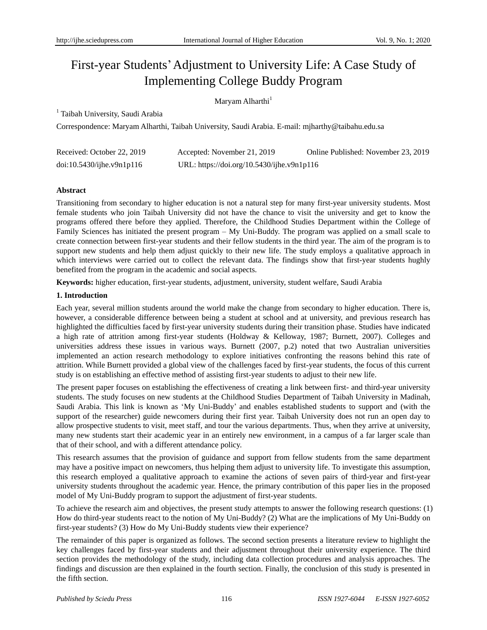# First-year Students'Adjustment to University Life: A Case Study of Implementing College Buddy Program

Maryam Alharthi<sup>1</sup>

<sup>1</sup> Taibah University, Saudi Arabia

Correspondence: Maryam Alharthi, Taibah University, Saudi Arabia. E-mail: mjharthy@taibahu.edu.sa

| Received: October 22, 2019 | Accepted: November 21, 2019                | Online Published: November 23, 2019 |
|----------------------------|--------------------------------------------|-------------------------------------|
| doi:10.5430/ijhe.v9n1p116  | URL: https://doi.org/10.5430/ijhe.v9n1p116 |                                     |

# **Abstract**

Transitioning from secondary to higher education is not a natural step for many first-year university students. Most female students who join Taibah University did not have the chance to visit the university and get to know the programs offered there before they applied. Therefore, the Childhood Studies Department within the College of Family Sciences has initiated the present program – My Uni-Buddy. The program was applied on a small scale to create connection between first-year students and their fellow students in the third year. The aim of the program is to support new students and help them adjust quickly to their new life. The study employs a qualitative approach in which interviews were carried out to collect the relevant data. The findings show that first-year students hughly benefited from the program in the academic and social aspects.

**Keywords:** higher education, first-year students, adjustment, university, student welfare, Saudi Arabia

## **1. Introduction**

Each year, several million students around the world make the change from secondary to higher education. There is, however, a considerable difference between being a student at school and at university, and previous research has highlighted the difficulties faced by first-year university students during their transition phase. Studies have indicated a high rate of attrition among first-year students (Holdway & Kelloway, 1987; Burnett, 2007). Colleges and universities address these issues in various ways. Burnett (2007, p.2) noted that two Australian universities implemented an action research methodology to explore initiatives confronting the reasons behind this rate of attrition. While Burnett provided a global view of the challenges faced by first-year students, the focus of this current study is on establishing an effective method of assisting first-year students to adjust to their new life.

The present paper focuses on establishing the effectiveness of creating a link between first- and third-year university students. The study focuses on new students at the Childhood Studies Department of Taibah University in Madinah, Saudi Arabia. This link is known as 'My Uni-Buddy' and enables established students to support and (with the support of the researcher) guide newcomers during their first year. Taibah University does not run an open day to allow prospective students to visit, meet staff, and tour the various departments. Thus, when they arrive at university, many new students start their academic year in an entirely new environment, in a campus of a far larger scale than that of their school, and with a different attendance policy.

This research assumes that the provision of guidance and support from fellow students from the same department may have a positive impact on newcomers, thus helping them adjust to university life. To investigate this assumption, this research employed a qualitative approach to examine the actions of seven pairs of third-year and first-year university students throughout the academic year. Hence, the primary contribution of this paper lies in the proposed model of My Uni-Buddy program to support the adjustment of first-year students.

To achieve the research aim and objectives, the present study attempts to answer the following research questions: (1) How do third-year students react to the notion of My Uni-Buddy? (2) What are the implications of My Uni-Buddy on first-year students? (3) How do My Uni-Buddy students view their experience?

The remainder of this paper is organized as follows. The second section presents a literature review to highlight the key challenges faced by first-year students and their adjustment throughout their university experience. The third section provides the methodology of the study, including data collection procedures and analysis approaches. The findings and discussion are then explained in the fourth section. Finally, the conclusion of this study is presented in the fifth section.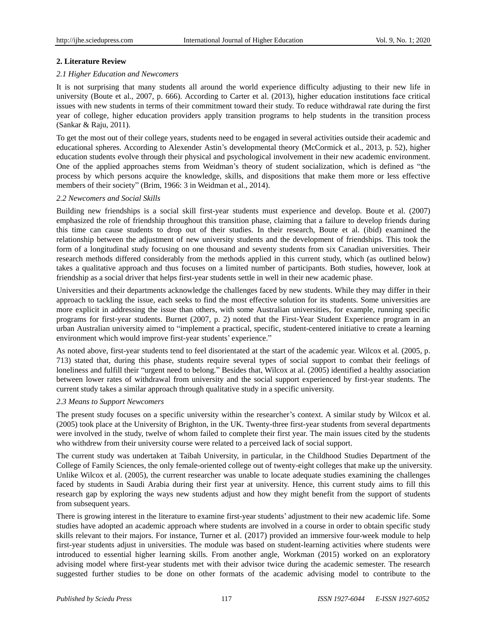# **2. Literature Review**

# *2.1 Higher Education and Newcomers*

It is not surprising that many students all around the world experience difficulty adjusting to their new life in university (Boute et al., 2007, p. 666). According to Carter et al. (2013), higher education institutions face critical issues with new students in terms of their commitment toward their study. To reduce withdrawal rate during the first year of college, higher education providers apply transition programs to help students in the transition process (Sankar & Raju, 2011).

To get the most out of their college years, students need to be engaged in several activities outside their academic and educational spheres. According to Alexender Astin's developmental theory (McCormick et al., 2013, p. 52), higher education students evolve through their physical and psychological involvement in their new academic environment. One of the applied approaches stems from Weidman's theory of student socialization, which is defined as "the process by which persons acquire the knowledge, skills, and dispositions that make them more or less effective members of their society" (Brim, 1966: 3 in Weidman et al., 2014).

## *2.2 Newcomers and Social Skills*

Building new friendships is a social skill first-year students must experience and develop. Boute et al. (2007) emphasized the role of friendship throughout this transition phase, claiming that a failure to develop friends during this time can cause students to drop out of their studies. In their research, Boute et al. (ibid) examined the relationship between the adjustment of new university students and the development of friendships. This took the form of a longitudinal study focusing on one thousand and seventy students from six Canadian universities. Their research methods differed considerably from the methods applied in this current study, which (as outlined below) takes a qualitative approach and thus focuses on a limited number of participants. Both studies, however, look at friendship as a social driver that helps first-year students settle in well in their new academic phase.

Universities and their departments acknowledge the challenges faced by new students. While they may differ in their approach to tackling the issue, each seeks to find the most effective solution for its students. Some universities are more explicit in addressing the issue than others, with some Australian universities, for example, running specific programs for first-year students. Burnet (2007, p. 2) noted that the First-Year Student Experience program in an urban Australian university aimed to "implement a practical, specific, student-centered initiative to create a learning environment which would improve first-year students' experience."

As noted above, first-year students tend to feel disorientated at the start of the academic year. Wilcox et al. (2005, p. 713) stated that, during this phase, students require several types of social support to combat their feelings of loneliness and fulfill their "urgent need to belong." Besides that, Wilcox at al. (2005) identified a healthy association between lower rates of withdrawal from university and the social support experienced by first-year students. The current study takes a similar approach through qualitative study in a specific university.

#### *2.3 Means to Support Newcomers*

The present study focuses on a specific university within the researcher's context. A similar study by Wilcox et al. (2005) took place at the University of Brighton, in the UK. Twenty-three first-year students from several departments were involved in the study, twelve of whom failed to complete their first year. The main issues cited by the students who withdrew from their university course were related to a perceived lack of social support.

The current study was undertaken at Taibah University, in particular, in the Childhood Studies Department of the College of Family Sciences, the only female-oriented college out of twenty-eight colleges that make up the university. Unlike Wilcox et al. (2005), the current researcher was unable to locate adequate studies examining the challenges faced by students in Saudi Arabia during their first year at university. Hence, this current study aims to fill this research gap by exploring the ways new students adjust and how they might benefit from the support of students from subsequent years.

There is growing interest in the literature to examine first-year students' adjustment to their new academic life. Some studies have adopted an academic approach where students are involved in a course in order to obtain specific study skills relevant to their majors. For instance, Turner et al. (2017) provided an immersive four-week module to help first-year students adjust in universities. The module was based on student-learning activities where students were introduced to essential higher learning skills. From another angle, Workman (2015) worked on an exploratory advising model where first-year students met with their advisor twice during the academic semester. The research suggested further studies to be done on other formats of the academic advising model to contribute to the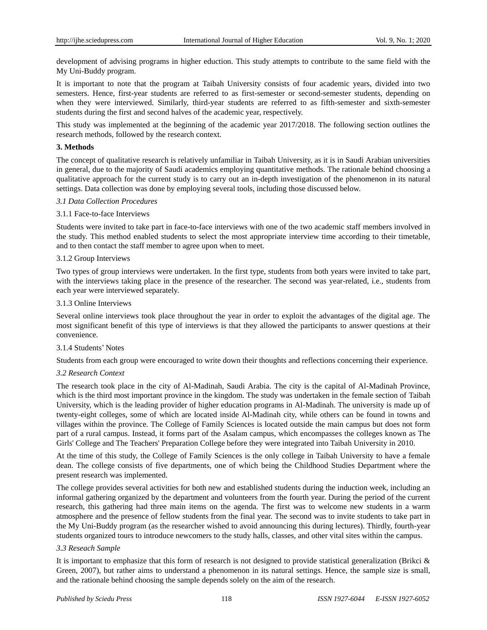development of advising programs in higher eduction. This study attempts to contribute to the same field with the My Uni-Buddy program.

It is important to note that the program at Taibah University consists of four academic years, divided into two semesters. Hence, first-year students are referred to as first-semester or second-semester students, depending on when they were interviewed. Similarly, third-year students are referred to as fifth-semester and sixth-semester students during the first and second halves of the academic year, respectively.

This study was implemented at the beginning of the academic year 2017/2018. The following section outlines the research methods, followed by the research context.

#### **3. Methods**

The concept of qualitative research is relatively unfamiliar in Taibah University, as it is in Saudi Arabian universities in general, due to the majority of Saudi academics employing quantitative methods. The rationale behind choosing a qualitative approach for the current study is to carry out an in-depth investigation of the phenomenon in its natural settings. Data collection was done by employing several tools, including those discussed below.

#### *3.1 Data Collection Procedures*

#### 3.1.1 Face-to-face Interviews

Students were invited to take part in face-to-face interviews with one of the two academic staff members involved in the study. This method enabled students to select the most appropriate interview time according to their timetable, and to then contact the staff member to agree upon when to meet.

#### 3.1.2 Group Interviews

Two types of group interviews were undertaken. In the first type, students from both years were invited to take part, with the interviews taking place in the presence of the researcher. The second was year-related, i.e., students from each year were interviewed separately.

## 3.1.3 Online Interviews

Several online interviews took place throughout the year in order to exploit the advantages of the digital age. The most significant benefit of this type of interviews is that they allowed the participants to answer questions at their convenience.

#### 3.1.4 Students' Notes

Students from each group were encouraged to write down their thoughts and reflections concerning their experience.

## *3.2 Research Context*

The research took place in the city of Al-Madinah, Saudi Arabia. The city is the capital of Al-Madinah Province, which is the third most important province in the kingdom. The study was undertaken in the female section of Taibah University, which is the leading provider of higher education programs in Al-Madinah. The university is made up of twenty-eight colleges, some of which are located inside Al-Madinah city, while others can be found in towns and villages within the province. The College of Family Sciences is located outside the main campus but does not form part of a rural campus. Instead, it forms part of the Asalam campus, which encompasses the colleges known as The Girls' College and The Teachers' Preparation College before they were integrated into Taibah University in 2010.

At the time of this study, the College of Family Sciences is the only college in Taibah University to have a female dean. The college consists of five departments, one of which being the Childhood Studies Department where the present research was implemented.

The college provides several activities for both new and established students during the induction week, including an informal gathering organized by the department and volunteers from the fourth year. During the period of the current research, this gathering had three main items on the agenda. The first was to welcome new students in a warm atmosphere and the presence of fellow students from the final year. The second was to invite students to take part in the My Uni-Buddy program (as the researcher wished to avoid announcing this during lectures). Thirdly, fourth-year students organized tours to introduce newcomers to the study halls, classes, and other vital sites within the campus.

#### *3.3 Reseach Sample*

It is important to emphasize that this form of research is not designed to provide statistical generalization (Brikci  $\&$ Green, 2007), but rather aims to understand a phenomenon in its natural settings. Hence, the sample size is small, and the rationale behind choosing the sample depends solely on the aim of the research.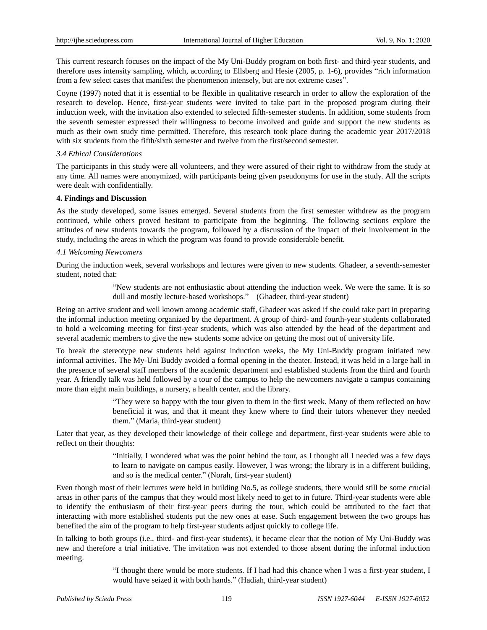This current research focuses on the impact of the My Uni-Buddy program on both first- and third-year students, and therefore uses intensity sampling, which, according to Ellsberg and Hesie (2005, p. 1-6), provides "rich information from a few select cases that manifest the phenomenon intensely, but are not extreme cases".

Coyne (1997) noted that it is essential to be flexible in qualitative research in order to allow the exploration of the research to develop. Hence, first-year students were invited to take part in the proposed program during their induction week, with the invitation also extended to selected fifth-semester students. In addition, some students from the seventh semester expressed their willingness to become involved and guide and support the new students as much as their own study time permitted. Therefore, this research took place during the academic year 2017/2018 with six students from the fifth/sixth semester and twelve from the first/second semester.

#### *3.4 Ethical Considerations*

The participants in this study were all volunteers, and they were assured of their right to withdraw from the study at any time. All names were anonymized, with participants being given pseudonyms for use in the study. All the scripts were dealt with confidentially.

# **4. Findings and Discussion**

As the study developed, some issues emerged. Several students from the first semester withdrew as the program continued, while others proved hesitant to participate from the beginning. The following sections explore the attitudes of new students towards the program, followed by a discussion of the impact of their involvement in the study, including the areas in which the program was found to provide considerable benefit.

#### *4.1 Welcoming Newcomers*

During the induction week, several workshops and lectures were given to new students. Ghadeer, a seventh-semester student, noted that:

> "New students are not enthusiastic about attending the induction week. We were the same. It is so dull and mostly lecture-based workshops." (Ghadeer, third-year student)

Being an active student and well known among academic staff, Ghadeer was asked if she could take part in preparing the informal induction meeting organized by the department. A group of third- and fourth-year students collaborated to hold a welcoming meeting for first-year students, which was also attended by the head of the department and several academic members to give the new students some advice on getting the most out of university life.

To break the stereotype new students held against induction weeks, the My Uni-Buddy program initiated new informal activities. The My-Uni Buddy avoided a formal opening in the theater. Instead, it was held in a large hall in the presence of several staff members of the academic department and established students from the third and fourth year. A friendly talk was held followed by a tour of the campus to help the newcomers navigate a campus containing more than eight main buildings, a nursery, a health center, and the library.

> "They were so happy with the tour given to them in the first week. Many of them reflected on how beneficial it was, and that it meant they knew where to find their tutors whenever they needed them." (Maria, third-year student)

Later that year, as they developed their knowledge of their college and department, first-year students were able to reflect on their thoughts:

> "Initially, I wondered what was the point behind the tour, as I thought all I needed was a few days to learn to navigate on campus easily. However, I was wrong; the library is in a different building, and so is the medical center." (Norah, first-year student)

Even though most of their lectures were held in building No.5, as college students, there would still be some crucial areas in other parts of the campus that they would most likely need to get to in future. Third-year students were able to identify the enthusiasm of their first-year peers during the tour, which could be attributed to the fact that interacting with more established students put the new ones at ease. Such engagement between the two groups has benefited the aim of the program to help first-year students adjust quickly to college life.

In talking to both groups (i.e., third- and first-year students), it became clear that the notion of My Uni-Buddy was new and therefore a trial initiative. The invitation was not extended to those absent during the informal induction meeting.

> "I thought there would be more students. If I had had this chance when I was a first-year student, I would have seized it with both hands." (Hadiah, third-year student)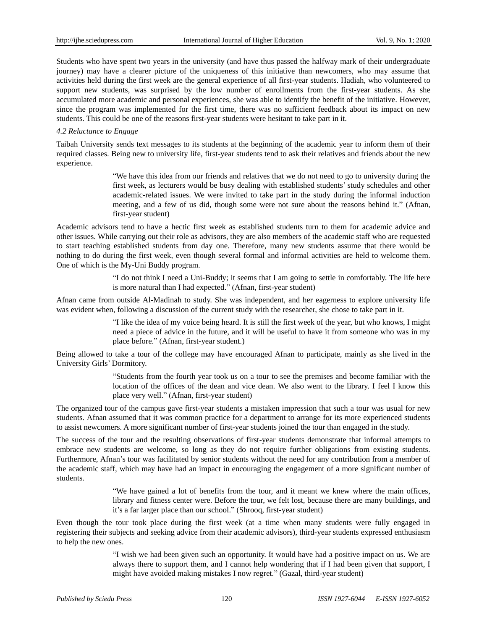Students who have spent two years in the university (and have thus passed the halfway mark of their undergraduate journey) may have a clearer picture of the uniqueness of this initiative than newcomers, who may assume that activities held during the first week are the general experience of all first-year students. Hadiah, who volunteered to support new students, was surprised by the low number of enrollments from the first-year students. As she accumulated more academic and personal experiences, she was able to identify the benefit of the initiative. However, since the program was implemented for the first time, there was no sufficient feedback about its impact on new students. This could be one of the reasons first-year students were hesitant to take part in it.

#### *4.2 Reluctance to Engage*

Taibah University sends text messages to its students at the beginning of the academic year to inform them of their required classes. Being new to university life, first-year students tend to ask their relatives and friends about the new experience.

> "We have this idea from our friends and relatives that we do not need to go to university during the first week, as lecturers would be busy dealing with established students' study schedules and other academic-related issues. We were invited to take part in the study during the informal induction meeting, and a few of us did, though some were not sure about the reasons behind it." (Afnan, first-year student)

Academic advisors tend to have a hectic first week as established students turn to them for academic advice and other issues. While carrying out their role as advisors, they are also members of the academic staff who are requested to start teaching established students from day one. Therefore, many new students assume that there would be nothing to do during the first week, even though several formal and informal activities are held to welcome them. One of which is the My-Uni Buddy program.

> "I do not think I need a Uni-Buddy; it seems that I am going to settle in comfortably. The life here is more natural than I had expected." (Afnan, first-year student)

Afnan came from outside Al-Madinah to study. She was independent, and her eagerness to explore university life was evident when, following a discussion of the current study with the researcher, she chose to take part in it.

> "I like the idea of my voice being heard. It is still the first week of the year, but who knows, I might need a piece of advice in the future, and it will be useful to have it from someone who was in my place before." (Afnan, first-year student.)

Being allowed to take a tour of the college may have encouraged Afnan to participate, mainly as she lived in the University Girls' Dormitory.

> "Students from the fourth year took us on a tour to see the premises and become familiar with the location of the offices of the dean and vice dean. We also went to the library. I feel I know this place very well." (Afnan, first-year student)

The organized tour of the campus gave first-year students a mistaken impression that such a tour was usual for new students. Afnan assumed that it was common practice for a department to arrange for its more experienced students to assist newcomers. A more significant number of first-year students joined the tour than engaged in the study.

The success of the tour and the resulting observations of first-year students demonstrate that informal attempts to embrace new students are welcome, so long as they do not require further obligations from existing students. Furthermore, Afnan's tour was facilitated by senior students without the need for any contribution from a member of the academic staff, which may have had an impact in encouraging the engagement of a more significant number of students.

> "We have gained a lot of benefits from the tour, and it meant we knew where the main offices, library and fitness center were. Before the tour, we felt lost, because there are many buildings, and it's a far larger place than our school." (Shrooq, first-year student)

Even though the tour took place during the first week (at a time when many students were fully engaged in registering their subjects and seeking advice from their academic advisors), third-year students expressed enthusiasm to help the new ones.

> "I wish we had been given such an opportunity. It would have had a positive impact on us. We are always there to support them, and I cannot help wondering that if I had been given that support, I might have avoided making mistakes I now regret." (Gazal, third-year student)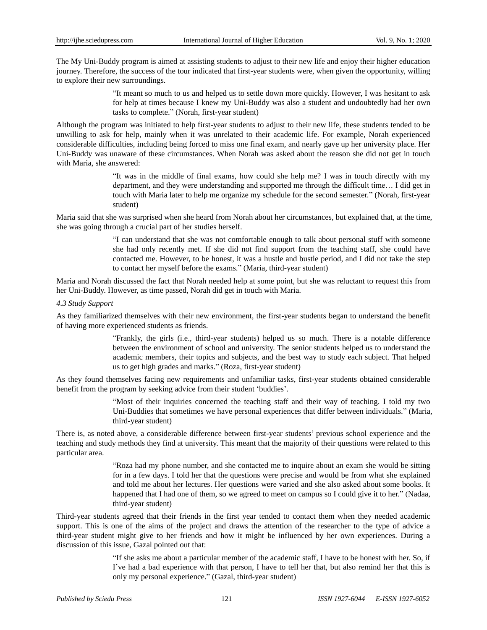The My Uni-Buddy program is aimed at assisting students to adjust to their new life and enjoy their higher education journey. Therefore, the success of the tour indicated that first-year students were, when given the opportunity, willing to explore their new surroundings.

> "It meant so much to us and helped us to settle down more quickly. However, I was hesitant to ask for help at times because I knew my Uni-Buddy was also a student and undoubtedly had her own tasks to complete." (Norah, first-year student)

Although the program was initiated to help first-year students to adjust to their new life, these students tended to be unwilling to ask for help, mainly when it was unrelated to their academic life. For example, Norah experienced considerable difficulties, including being forced to miss one final exam, and nearly gave up her university place. Her Uni-Buddy was unaware of these circumstances. When Norah was asked about the reason she did not get in touch with Maria, she answered:

> "It was in the middle of final exams, how could she help me? I was in touch directly with my department, and they were understanding and supported me through the difficult time… I did get in touch with Maria later to help me organize my schedule for the second semester." (Norah, first-year student)

Maria said that she was surprised when she heard from Norah about her circumstances, but explained that, at the time, she was going through a crucial part of her studies herself.

> "I can understand that she was not comfortable enough to talk about personal stuff with someone she had only recently met. If she did not find support from the teaching staff, she could have contacted me. However, to be honest, it was a hustle and bustle period, and I did not take the step to contact her myself before the exams." (Maria, third-year student)

Maria and Norah discussed the fact that Norah needed help at some point, but she was reluctant to request this from her Uni-Buddy. However, as time passed, Norah did get in touch with Maria.

#### *4.3 Study Support*

As they familiarized themselves with their new environment, the first-year students began to understand the benefit of having more experienced students as friends.

> "Frankly, the girls (i.e., third-year students) helped us so much. There is a notable difference between the environment of school and university. The senior students helped us to understand the academic members, their topics and subjects, and the best way to study each subject. That helped us to get high grades and marks." (Roza, first-year student)

As they found themselves facing new requirements and unfamiliar tasks, first-year students obtained considerable benefit from the program by seeking advice from their student 'buddies'.

> "Most of their inquiries concerned the teaching staff and their way of teaching. I told my two Uni-Buddies that sometimes we have personal experiences that differ between individuals." (Maria, third-year student)

There is, as noted above, a considerable difference between first-year students' previous school experience and the teaching and study methods they find at university. This meant that the majority of their questions were related to this particular area.

> "Roza had my phone number, and she contacted me to inquire about an exam she would be sitting for in a few days. I told her that the questions were precise and would be from what she explained and told me about her lectures. Her questions were varied and she also asked about some books. It happened that I had one of them, so we agreed to meet on campus so I could give it to her." (Nadaa, third-year student)

Third-year students agreed that their friends in the first year tended to contact them when they needed academic support. This is one of the aims of the project and draws the attention of the researcher to the type of advice a third-year student might give to her friends and how it might be influenced by her own experiences. During a discussion of this issue, Gazal pointed out that:

> "If she asks me about a particular member of the academic staff, I have to be honest with her. So, if I've had a bad experience with that person, I have to tell her that, but also remind her that this is only my personal experience." (Gazal, third-year student)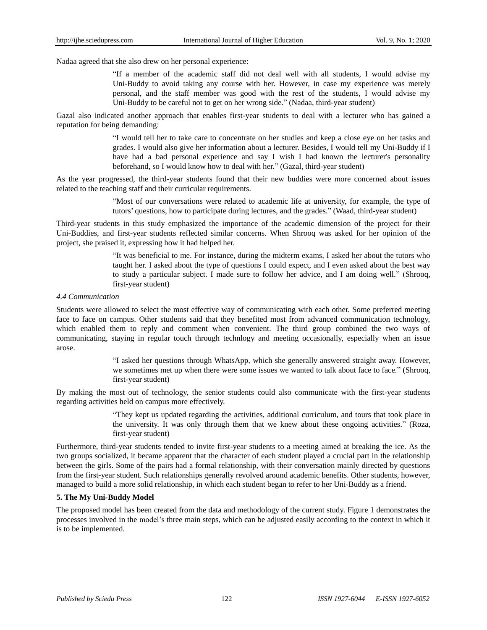Nadaa agreed that she also drew on her personal experience:

"If a member of the academic staff did not deal well with all students, I would advise my Uni-Buddy to avoid taking any course with her. However, in case my experience was merely personal, and the staff member was good with the rest of the students, I would advise my Uni-Buddy to be careful not to get on her wrong side." (Nadaa, third-year student)

Gazal also indicated another approach that enables first-year students to deal with a lecturer who has gained a reputation for being demanding:

> "I would tell her to take care to concentrate on her studies and keep a close eye on her tasks and grades. I would also give her information about a lecturer. Besides, I would tell my Uni-Buddy if I have had a bad personal experience and say I wish I had known the lecturer's personality beforehand, so I would know how to deal with her." (Gazal, third-year student)

As the year progressed, the third-year students found that their new buddies were more concerned about issues related to the teaching staff and their curricular requirements.

> "Most of our conversations were related to academic life at university, for example, the type of tutors' questions, how to participate during lectures, and the grades." (Waad, third-year student)

Third-year students in this study emphasized the importance of the academic dimension of the project for their Uni-Buddies, and first-year students reflected similar concerns. When Shrooq was asked for her opinion of the project, she praised it, expressing how it had helped her.

> "It was beneficial to me. For instance, during the midterm exams, I asked her about the tutors who taught her. I asked about the type of questions I could expect, and I even asked about the best way to study a particular subject. I made sure to follow her advice, and I am doing well." (Shrooq, first-year student)

#### *4.4 Communication*

Students were allowed to select the most effective way of communicating with each other. Some preferred meeting face to face on campus. Other students said that they benefited most from advanced communication technology, which enabled them to reply and comment when convenient. The third group combined the two ways of communicating, staying in regular touch through technlogy and meeting occasionally, especially when an issue arose.

> "I asked her questions through WhatsApp, which she generally answered straight away. However, we sometimes met up when there were some issues we wanted to talk about face to face." (Shrooq, first-year student)

By making the most out of technology, the senior students could also communicate with the first-year students regarding activities held on campus more effectively.

> "They kept us updated regarding the activities, additional curriculum, and tours that took place in the university. It was only through them that we knew about these ongoing activities." (Roza, first-year student)

Furthermore, third-year students tended to invite first-year students to a meeting aimed at breaking the ice. As the two groups socialized, it became apparent that the character of each student played a crucial part in the relationship between the girls. Some of the pairs had a formal relationship, with their conversation mainly directed by questions from the first-year student. Such relationships generally revolved around academic benefits. Other students, however, managed to build a more solid relationship, in which each student began to refer to her Uni-Buddy as a friend.

#### **5. The My Uni-Buddy Model**

The proposed model has been created from the data and methodology of the current study. Figure 1 demonstrates the processes involved in the model's three main steps, which can be adjusted easily according to the context in which it is to be implemented.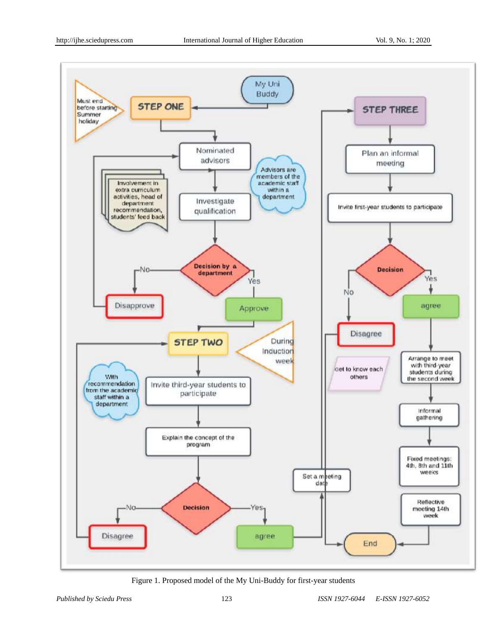

Figure 1. Proposed model of the My Uni-Buddy for first-year students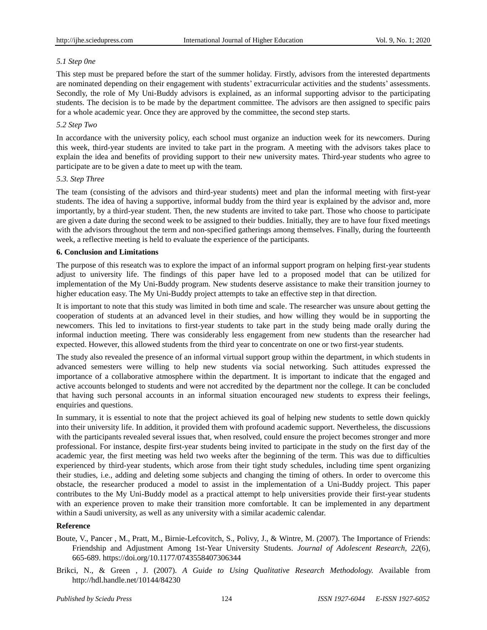# *5.1 Step 0ne*

This step must be prepared before the start of the summer holiday. Firstly, advisors from the interested departments are nominated depending on their engagement with students' extracurricular activities and the students' assessments. Secondly, the role of My Uni-Buddy advisors is explained, as an informal supporting advisor to the participating students. The decision is to be made by the department committee. The advisors are then assigned to specific pairs for a whole academic year. Once they are approved by the committee, the second step starts.

## *5.2 Step Two*

In accordance with the university policy, each school must organize an induction week for its newcomers. During this week, third-year students are invited to take part in the program. A meeting with the advisors takes place to explain the idea and benefits of providing support to their new university mates. Third-year students who agree to participate are to be given a date to meet up with the team.

## *5.3. Step Three*

The team (consisting of the advisors and third-year students) meet and plan the informal meeting with first-year students. The idea of having a supportive, informal buddy from the third year is explained by the advisor and, more importantly, by a third-year student. Then, the new students are invited to take part. Those who choose to participate are given a date during the second week to be assigned to their buddies. Initially, they are to have four fixed meetings with the advisors throughout the term and non-specified gatherings among themselves. Finally, during the fourteenth week, a reflective meeting is held to evaluate the experience of the participants.

## **6. Conclusion and Limitations**

The purpose of this reseatch was to explore the impact of an informal support program on helping first-year students adjust to university life. The findings of this paper have led to a proposed model that can be utilized for implementation of the My Uni-Buddy program. New students deserve assistance to make their transition journey to higher education easy. The My Uni-Buddy project attempts to take an effective step in that direction.

It is important to note that this study was limited in both time and scale. The researcher was unsure about getting the cooperation of students at an advanced level in their studies, and how willing they would be in supporting the newcomers. This led to invitations to first-year students to take part in the study being made orally during the informal induction meeting. There was considerably less engagement from new students than the researcher had expected. However, this allowed students from the third year to concentrate on one or two first-year students.

The study also revealed the presence of an informal virtual support group within the department, in which students in advanced semesters were willing to help new students via social networking. Such attitudes expressed the importance of a collaborative atmosphere within the department. It is important to indicate that the engaged and active accounts belonged to students and were not accredited by the department nor the college. It can be concluded that having such personal accounts in an informal situation encouraged new students to express their feelings, enquiries and questions.

In summary, it is essential to note that the project achieved its goal of helping new students to settle down quickly into their university life. In addition, it provided them with profound academic support. Nevertheless, the discussions with the participants revealed several issues that, when resolved, could ensure the project becomes stronger and more professional. For instance, despite first-year students being invited to participate in the study on the first day of the academic year, the first meeting was held two weeks after the beginning of the term. This was due to difficulties experienced by third-year students, which arose from their tight study schedules, including time spent organizing their studies, i.e., adding and deleting some subjects and changing the timing of others. In order to overcome this obstacle, the researcher produced a model to assist in the implementation of a Uni-Buddy project. This paper contributes to the My Uni-Buddy model as a practical attempt to help universities provide their first-year students with an experience proven to make their transition more comfortable. It can be implemented in any department within a Saudi university, as well as any university with a similar academic calendar.

# **Reference**

- Boute, V., Pancer , M., Pratt, M., Birnie-Lefcovitch, S., Polivy, J., & Wintre, M. (2007). The Importance of Friends: Friendship and Adjustment Among 1st-Year University Students. *Journal of Adolescent Research, 22*(6), 665-689. https://doi.org/10.1177/0743558407306344
- Brikci, N., & Green , J. (2007). *A Guide to Using Qualitative Research Methodology.* Available from http://hdl.handle.net/10144/84230